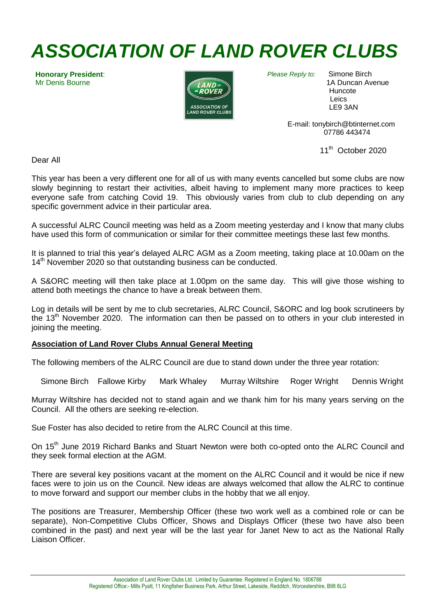# *ASSOCIATION OF LAND ROVER CLUBS*

**Honorary President**: Mr Denis Bourne



*Please Reply to:* Simone Birch

 1A Duncan Avenue Huncote Leics LE9 3AN

 E-mail: tonybirch@btinternet.com 07786 443474

 $11<sup>th</sup>$  October 2020

Dear All

This year has been a very different one for all of us with many events cancelled but some clubs are now slowly beginning to restart their activities, albeit having to implement many more practices to keep everyone safe from catching Covid 19. This obviously varies from club to club depending on any specific government advice in their particular area.

A successful ALRC Council meeting was held as a Zoom meeting yesterday and I know that many clubs have used this form of communication or similar for their committee meetings these last few months.

It is planned to trial this year's delayed ALRC AGM as a Zoom meeting, taking place at 10.00am on the 14<sup>th</sup> November 2020 so that outstanding business can be conducted.

A S&ORC meeting will then take place at 1.00pm on the same day. This will give those wishing to attend both meetings the chance to have a break between them.

Log in details will be sent by me to club secretaries, ALRC Council, S&ORC and log book scrutineers by the 13<sup>th</sup> November 2020. The information can then be passed on to others in your club interested in joining the meeting.

# **Association of Land Rover Clubs Annual General Meeting**

The following members of the ALRC Council are due to stand down under the three year rotation:

Simone Birch Fallowe Kirby Mark Whaley Murray Wiltshire Roger Wright Dennis Wright

Murray Wiltshire has decided not to stand again and we thank him for his many years serving on the Council. All the others are seeking re-election.

Sue Foster has also decided to retire from the ALRC Council at this time.

On 15<sup>th</sup> June 2019 Richard Banks and Stuart Newton were both co-opted onto the ALRC Council and they seek formal election at the AGM.

There are several key positions vacant at the moment on the ALRC Council and it would be nice if new faces were to join us on the Council. New ideas are always welcomed that allow the ALRC to continue to move forward and support our member clubs in the hobby that we all enjoy.

The positions are Treasurer, Membership Officer (these two work well as a combined role or can be separate), Non-Competitive Clubs Officer, Shows and Displays Officer (these two have also been combined in the past) and next year will be the last year for Janet New to act as the National Rally Liaison Officer.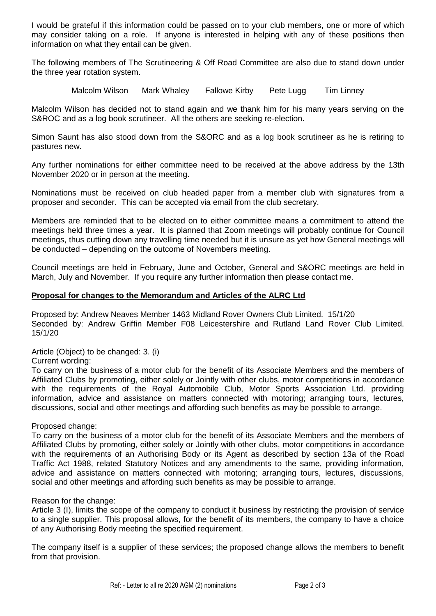I would be grateful if this information could be passed on to your club members, one or more of which may consider taking on a role. If anyone is interested in helping with any of these positions then information on what they entail can be given.

The following members of The Scrutineering & Off Road Committee are also due to stand down under the three year rotation system.

Malcolm Wilson Mark Whaley Fallowe Kirby Pete Lugg Tim Linney

Malcolm Wilson has decided not to stand again and we thank him for his many years serving on the S&ROC and as a log book scrutineer. All the others are seeking re-election.

Simon Saunt has also stood down from the S&ORC and as a log book scrutineer as he is retiring to pastures new.

Any further nominations for either committee need to be received at the above address by the 13th November 2020 or in person at the meeting.

Nominations must be received on club headed paper from a member club with signatures from a proposer and seconder. This can be accepted via email from the club secretary.

Members are reminded that to be elected on to either committee means a commitment to attend the meetings held three times a year. It is planned that Zoom meetings will probably continue for Council meetings, thus cutting down any travelling time needed but it is unsure as yet how General meetings will be conducted – depending on the outcome of Novembers meeting.

Council meetings are held in February, June and October, General and S&ORC meetings are held in March, July and November. If you require any further information then please contact me.

### **Proposal for changes to the Memorandum and Articles of the ALRC Ltd**

Proposed by: Andrew Neaves Member 1463 Midland Rover Owners Club Limited. 15/1/20 Seconded by: Andrew Griffin Member F08 Leicestershire and Rutland Land Rover Club Limited. 15/1/20

Article (Object) to be changed: 3. (i)

Current wording:

To carry on the business of a motor club for the benefit of its Associate Members and the members of Affiliated Clubs by promoting, either solely or Jointly with other clubs, motor competitions in accordance with the requirements of the Royal Automobile Club, Motor Sports Association Ltd. providing information, advice and assistance on matters connected with motoring; arranging tours, lectures, discussions, social and other meetings and affording such benefits as may be possible to arrange.

Proposed change:

To carry on the business of a motor club for the benefit of its Associate Members and the members of Affiliated Clubs by promoting, either solely or Jointly with other clubs, motor competitions in accordance with the requirements of an Authorising Body or its Agent as described by section 13a of the Road Traffic Act 1988, related Statutory Notices and any amendments to the same, providing information, advice and assistance on matters connected with motoring; arranging tours, lectures, discussions, social and other meetings and affording such benefits as may be possible to arrange.

Reason for the change:

Article 3 (I), limits the scope of the company to conduct it business by restricting the provision of service to a single supplier. This proposal allows, for the benefit of its members, the company to have a choice of any Authorising Body meeting the specified requirement.

The company itself is a supplier of these services; the proposed change allows the members to benefit from that provision.